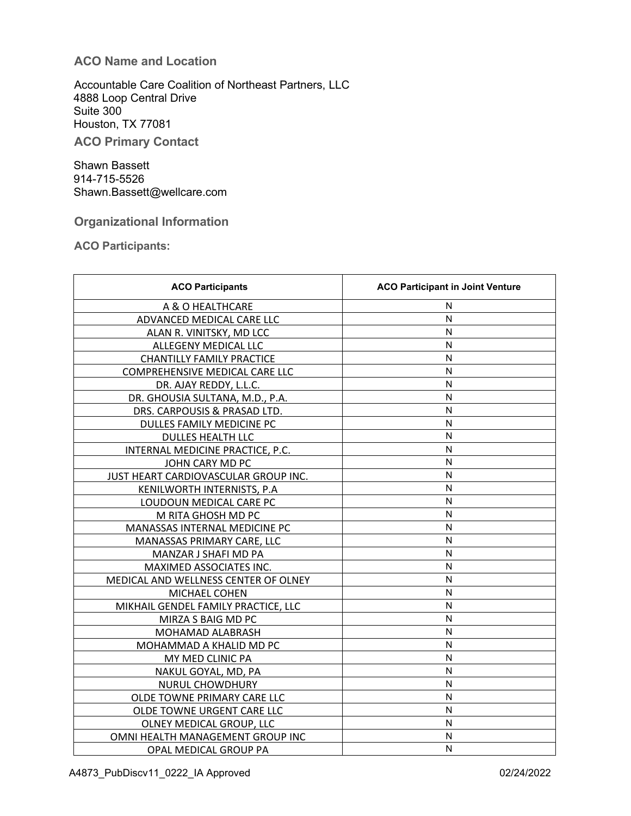## **ACO Name and Location**

Accountable Care Coalition of Northeast Partners, LLC 4888 Loop Central Drive Suite 300 Houston, TX 77081 **ACO Primary Contact**

Shawn Bassett 914-715-5526 Shawn.Bassett@wellcare.com

## **Organizational Information**

**ACO Participants:**

| <b>ACO Participants</b>              | <b>ACO Participant in Joint Venture</b> |
|--------------------------------------|-----------------------------------------|
| A & O HEALTHCARE                     | N                                       |
| ADVANCED MEDICAL CARE LLC            | N                                       |
| ALAN R. VINITSKY, MD LCC             | N                                       |
| ALLEGENY MEDICAL LLC                 | N                                       |
| <b>CHANTILLY FAMILY PRACTICE</b>     | N                                       |
| COMPREHENSIVE MEDICAL CARE LLC       | N                                       |
| DR. AJAY REDDY, L.L.C.               | N                                       |
| DR. GHOUSIA SULTANA, M.D., P.A.      | N                                       |
| DRS. CARPOUSIS & PRASAD LTD.         | N                                       |
| DULLES FAMILY MEDICINE PC            | N                                       |
| <b>DULLES HEALTH LLC</b>             | N                                       |
| INTERNAL MEDICINE PRACTICE, P.C.     | N                                       |
| JOHN CARY MD PC                      | N                                       |
| JUST HEART CARDIOVASCULAR GROUP INC. | N                                       |
| KENILWORTH INTERNISTS, P.A.          | N                                       |
| LOUDOUN MEDICAL CARE PC              | N                                       |
| M RITA GHOSH MD PC                   | N                                       |
| MANASSAS INTERNAL MEDICINE PC        | N                                       |
| MANASSAS PRIMARY CARE, LLC           | N                                       |
| MANZAR J SHAFI MD PA                 | N                                       |
| MAXIMED ASSOCIATES INC.              | N                                       |
| MEDICAL AND WELLNESS CENTER OF OLNEY | N                                       |
| MICHAEL COHEN                        | N                                       |
| MIKHAIL GENDEL FAMILY PRACTICE, LLC  | N                                       |
| MIRZA S BAIG MD PC                   | N                                       |
| MOHAMAD ALABRASH                     | N                                       |
| MOHAMMAD A KHALID MD PC              | N                                       |
| MY MED CLINIC PA                     | N                                       |
| NAKUL GOYAL, MD, PA                  | N                                       |
| <b>NURUL CHOWDHURY</b>               | N                                       |
| OLDE TOWNE PRIMARY CARE LLC          | N                                       |
| OLDE TOWNE URGENT CARE LLC           | N                                       |
| OLNEY MEDICAL GROUP, LLC             | N                                       |
| OMNI HEALTH MANAGEMENT GROUP INC     | N                                       |
| OPAL MEDICAL GROUP PA                | N                                       |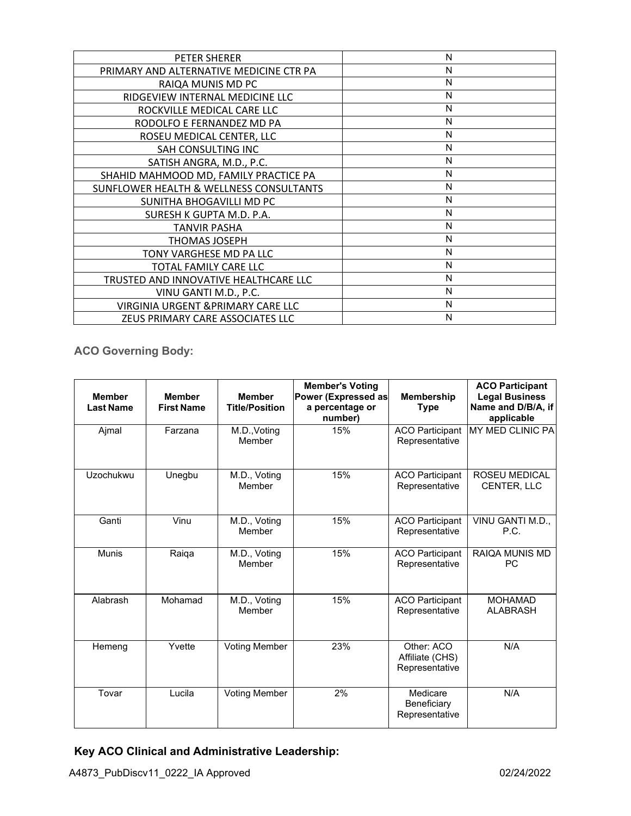| PETER SHERER                            | N |
|-----------------------------------------|---|
| PRIMARY AND ALTERNATIVE MEDICINE CTR PA | N |
| RAIQA MUNIS MD PC                       | N |
| RIDGEVIEW INTERNAL MEDICINE LLC         | N |
| ROCKVILLE MEDICAL CARE LLC              | N |
| RODOLFO E FERNANDEZ MD PA               | N |
| ROSEU MEDICAL CENTER, LLC               | N |
| SAH CONSULTING INC                      | N |
| SATISH ANGRA, M.D., P.C.                | N |
| SHAHID MAHMOOD MD, FAMILY PRACTICE PA   | N |
| SUNFLOWER HEALTH & WELLNESS CONSULTANTS | N |
| SUNITHA BHOGAVILLI MD PC                | N |
| SURESH K GUPTA M.D. P.A.                | N |
| <b>TANVIR PASHA</b>                     | N |
| <b>THOMAS JOSEPH</b>                    | N |
| TONY VARGHESE MD PA LLC                 | N |
| TOTAL FAMILY CARE LLC                   | N |
| TRUSTED AND INNOVATIVE HEALTHCARE LLC   | N |
| VINU GANTI M.D., P.C.                   | N |
| VIRGINIA URGENT & PRIMARY CARE LLC      | N |
| ZEUS PRIMARY CARE ASSOCIATES LLC        | N |

**ACO Governing Body:**

| <b>Member</b><br><b>Last Name</b> | <b>Member</b><br><b>First Name</b> | <b>Member</b><br><b>Title/Position</b> | <b>Member's Voting</b><br>Power (Expressed as<br>a percentage or<br>number) | <b>Membership</b><br><b>Type</b>                | <b>ACO Participant</b><br><b>Legal Business</b><br>Name and D/B/A, if<br>applicable |
|-----------------------------------|------------------------------------|----------------------------------------|-----------------------------------------------------------------------------|-------------------------------------------------|-------------------------------------------------------------------------------------|
| Ajmal                             | Farzana                            | M.D., Voting<br>Member                 | 15%                                                                         | <b>ACO Participant</b><br>Representative        | MY MED CLINIC PA                                                                    |
| Uzochukwu                         | Unegbu                             | M.D., Voting<br>Member                 | 15%                                                                         | <b>ACO Participant</b><br>Representative        | <b>ROSEU MEDICAL</b><br><b>CENTER, LLC</b>                                          |
| Ganti                             | Vinu                               | M.D., Voting<br>Member                 | 15%                                                                         | <b>ACO Participant</b><br>Representative        | VINU GANTI M.D<br>P.C.                                                              |
| <b>Munis</b>                      | Raiqa                              | M.D., Voting<br>Member                 | 15%                                                                         | <b>ACO Participant</b><br>Representative        | RAIQA MUNIS MD<br><b>PC</b>                                                         |
| Alabrash                          | Mohamad                            | M.D., Voting<br>Member                 | 15%                                                                         | <b>ACO Participant</b><br>Representative        | <b>MOHAMAD</b><br><b>ALABRASH</b>                                                   |
| Hemeng                            | Yvette                             | <b>Voting Member</b>                   | 23%                                                                         | Other: ACO<br>Affiliate (CHS)<br>Representative | N/A                                                                                 |
| Tovar                             | Lucila                             | <b>Voting Member</b>                   | 2%                                                                          | Medicare<br>Beneficiary<br>Representative       | N/A                                                                                 |

# **Key ACO Clinical and Administrative Leadership:**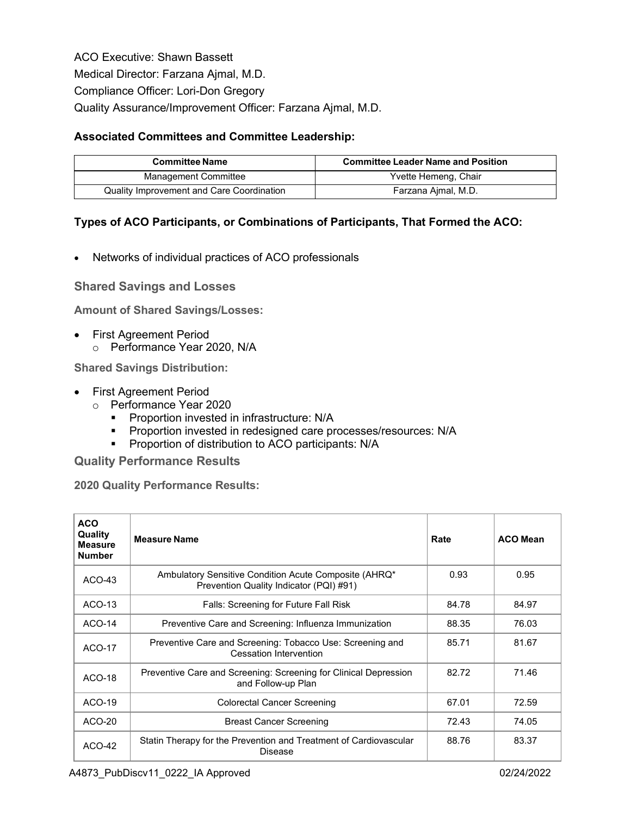ACO Executive: Shawn Bassett Medical Director: Farzana Ajmal, M.D. Compliance Officer: Lori-Don Gregory Quality Assurance/Improvement Officer: Farzana Ajmal, M.D.

### **Associated Committees and Committee Leadership:**

| <b>Committee Name</b>                     | <b>Committee Leader Name and Position</b> |
|-------------------------------------------|-------------------------------------------|
| Management Committee                      | Yvette Hemeng, Chair                      |
| Quality Improvement and Care Coordination | Farzana Ajmal, M.D.                       |

## **Types of ACO Participants, or Combinations of Participants, That Formed the ACO:**

• Networks of individual practices of ACO professionals

**Shared Savings and Losses**

**Amount of Shared Savings/Losses:**

- First Agreement Period
	- o Performance Year 2020, N/A

**Shared Savings Distribution:**

- First Agreement Period
	- o Performance Year 2020
		- **Proportion invested in infrastructure: N/A**
		- **Proportion invested in redesigned care processes/resources: N/A**
		- **Proportion of distribution to ACO participants: N/A**

**Quality Performance Results**

**2020 Quality Performance Results:**

| <b>ACO</b><br>Quality<br><b>Measure</b><br><b>Number</b> | <b>Measure Name</b>                                                                              | Rate  | <b>ACO Mean</b> |
|----------------------------------------------------------|--------------------------------------------------------------------------------------------------|-------|-----------------|
| $ACO-43$                                                 | Ambulatory Sensitive Condition Acute Composite (AHRQ*<br>Prevention Quality Indicator (PQI) #91) | 0.93  | 0.95            |
| ACO-13                                                   | Falls: Screening for Future Fall Risk                                                            | 84.78 | 84.97           |
| $ACO-14$                                                 | Preventive Care and Screening: Influenza Immunization                                            | 88.35 | 76.03           |
| <b>ACO-17</b>                                            | Preventive Care and Screening: Tobacco Use: Screening and<br><b>Cessation Intervention</b>       | 85.71 | 81.67           |
| ACO-18                                                   | Preventive Care and Screening: Screening for Clinical Depression<br>and Follow-up Plan           | 82.72 | 71.46           |
| ACO-19                                                   | <b>Colorectal Cancer Screening</b>                                                               | 67.01 | 72.59           |
| ACO-20                                                   | <b>Breast Cancer Screening</b>                                                                   | 72.43 | 74.05           |
| $ACO-42$                                                 | Statin Therapy for the Prevention and Treatment of Cardiovascular<br>Disease                     | 88.76 | 83.37           |